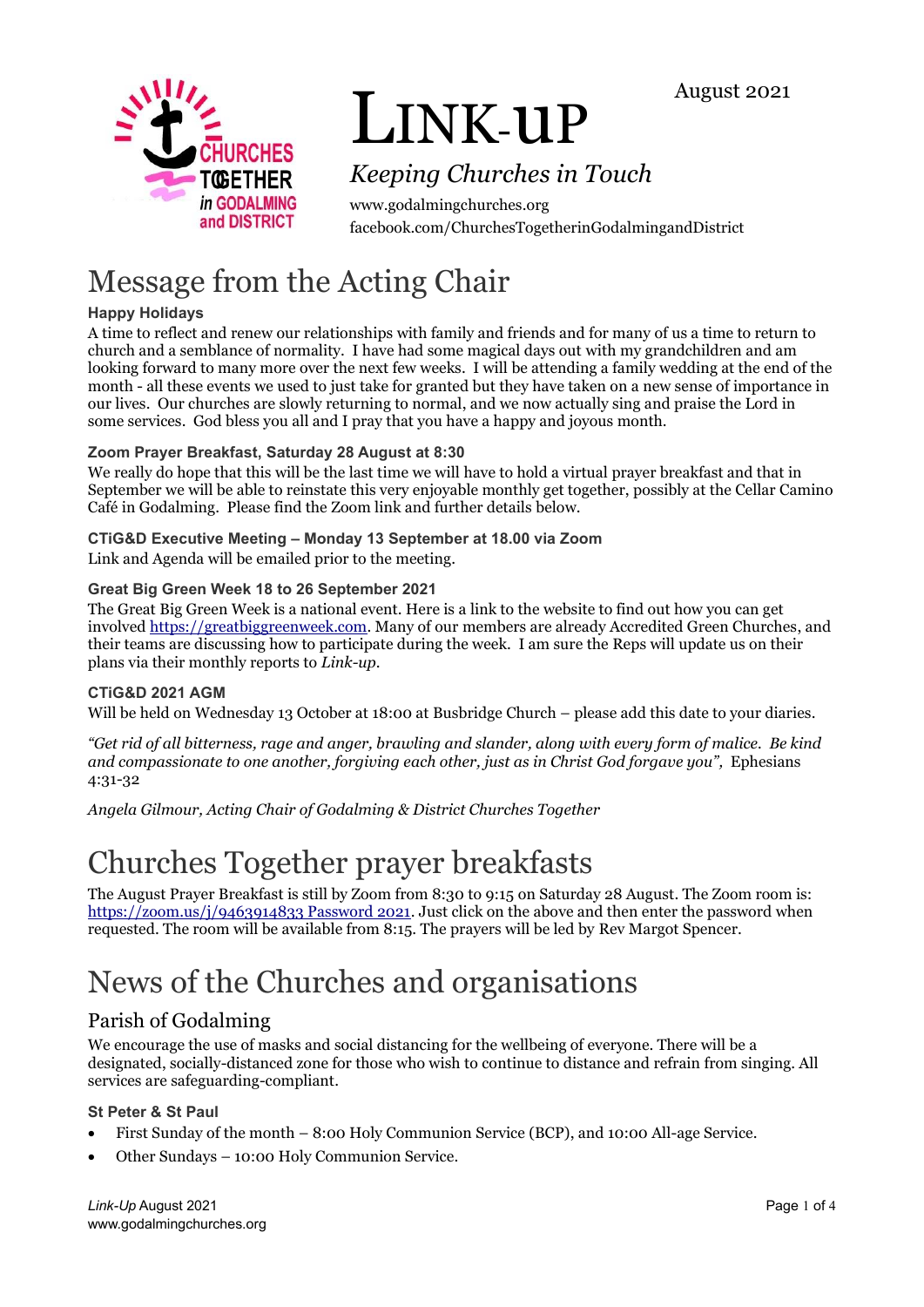



# LINK-uP

# *Keeping Churches in Touch*

www.godalmingchurches.org facebook.com/ChurchesTogetherinGodalmingandDistrict

# Message from the Acting Chair

# **Happy Holidays**

A time to reflect and renew our relationships with family and friends and for many of us a time to return to church and a semblance of normality. I have had some magical days out with my grandchildren and am looking forward to many more over the next few weeks. I will be attending a family wedding at the end of the month - all these events we used to just take for granted but they have taken on a new sense of importance in our lives. Our churches are slowly returning to normal, and we now actually sing and praise the Lord in some services. God bless you all and I pray that you have a happy and joyous month.

# **Zoom Prayer Breakfast, Saturday 28 August at 8:30**

We really do hope that this will be the last time we will have to hold a virtual prayer breakfast and that in September we will be able to reinstate this very enjoyable monthly get together, possibly at the Cellar Camino Café in Godalming. Please find the Zoom link and further details below.

# **CTiG&D Executive Meeting – Monday 13 September at 18.00 via Zoom**

Link and Agenda will be emailed prior to the meeting.

## **Great Big Green Week 18 to 26 September 2021**

The Great Big Green Week is a national event. Here is a link to the website to find out how you can get involve[d https://greatbiggreenweek.com.](https://greatbiggreenweek.com/) Many of our members are already Accredited Green Churches, and their teams are discussing how to participate during the week. I am sure the Reps will update us on their plans via their monthly reports to *Link-up*.

## **CTiG&D 2021 AGM**

Will be held on Wednesday 13 October at 18:00 at Busbridge Church – please add this date to your diaries.

*"Get rid of all bitterness, rage and anger, brawling and slander, along with every form of malice. Be kind and compassionate to one another, forgiving each other, just as in Christ God forgave you",* Ephesians 4:31-32

*Angela Gilmour, Acting Chair of Godalming & District Churches Together*

# Churches Together prayer breakfasts

The August Prayer Breakfast is still by Zoom from 8:30 to 9:15 on Saturday 28 August. The Zoom room is: [https://zoom.us/j/9463914833 Password 2021.](https://zoom.us/j/9463914833%20Password%202021) Just click on the above and then enter the password when requested. The room will be available from 8:15. The prayers will be led by Rev Margot Spencer.

# News of the Churches and organisations

# Parish of Godalming

We encourage the use of masks and social distancing for the wellbeing of everyone. There will be a designated, socially-distanced zone for those who wish to continue to distance and refrain from singing. All services are safeguarding-compliant.

#### **St Peter & St Paul**

- First Sunday of the month 8:00 Holy Communion Service (BCP), and 10:00 All-age Service.
- Other Sundays 10:00 Holy Communion Service.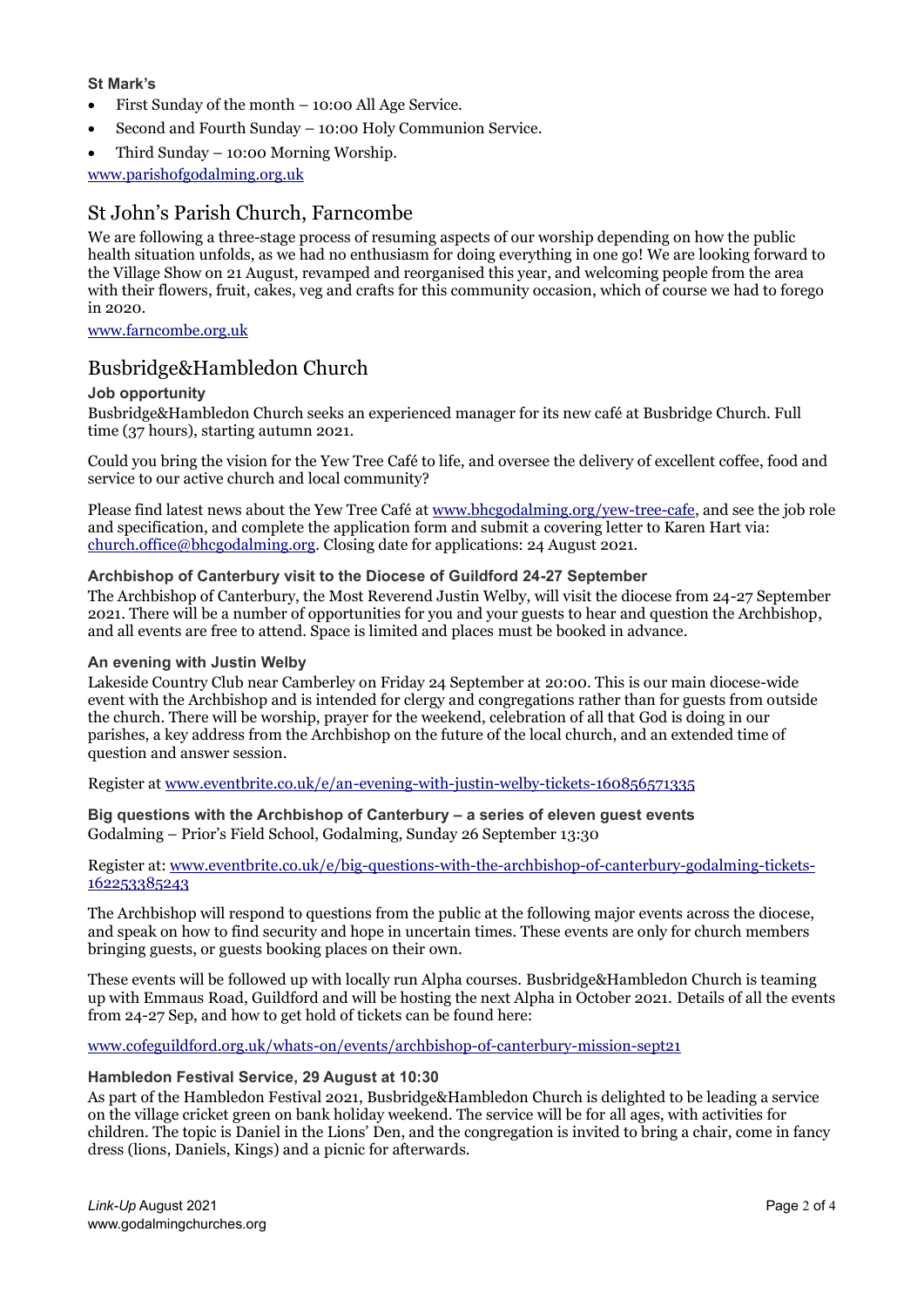#### **St Mark's**

- First Sunday of the month 10:00 All Age Service.
- Second and Fourth Sunday 10:00 Holy Communion Service.
- Third Sunday 10:00 Morning Worship.

[www.parishofgodalming.org.uk](http://www.parishofgodalming.org.uk/)

## St John's Parish Church, Farncombe

We are following a three-stage process of resuming aspects of our worship depending on how the public health situation unfolds, as we had no enthusiasm for doing everything in one go! We are looking forward to the Village Show on 21 August, revamped and reorganised this year, and welcoming people from the area with their flowers, fruit, cakes, veg and crafts for this community occasion, which of course we had to forego in 2020.

#### [www.farncombe.org.uk](http://www.farncombe.org.uk/)

# Busbridge&Hambledon Church

#### **Job opportunity**

Busbridge&Hambledon Church seeks an experienced manager for its new café at Busbridge Church. Full time (37 hours), starting autumn 2021.

Could you bring the vision for the Yew Tree Café to life, and oversee the delivery of excellent coffee, food and service to our active church and local community?

Please find latest news about the Yew Tree Café a[t www.bhcgodalming.org/yew-tree-cafe,](http://www.bhcgodalming.org/yew-tree-cafe) and see the job role and specification, and complete the application form and submit a covering letter to Karen Hart via: [church.office@bhcgodalming.org.](mailto:church.office@bhcgodalming.org) Closing date for applications: 24 August 2021.

#### **Archbishop of Canterbury visit to the Diocese of Guildford 24-27 September**

The Archbishop of Canterbury, the Most Reverend Justin Welby, will visit the diocese from 24-27 September 2021. There will be a number of opportunities for you and your guests to hear and question the Archbishop, and all events are free to attend. Space is limited and places must be booked in advance.

#### **An evening with Justin Welby**

Lakeside Country Club near Camberley on Friday 24 September at 20:00. This is our main diocese-wide event with the Archbishop and is intended for clergy and congregations rather than for guests from outside the church. There will be worship, prayer for the weekend, celebration of all that God is doing in our parishes, a key address from the Archbishop on the future of the local church, and an extended time of question and answer session.

Register a[t www.eventbrite.co.uk/e/an-evening-with-justin-welby-tickets-160856571335](http://www.eventbrite.co.uk/e/an-evening-with-justin-welby-tickets-160856571335)

**Big questions with the Archbishop of Canterbury – a series of eleven guest events** Godalming – Prior's Field School, Godalming, Sunday 26 September 13:30

Register at[: www.eventbrite.co.uk/e/big-questions-with-the-archbishop-of-canterbury-godalming-tickets-](http://www.eventbrite.co.uk/e/big-questions-with-the-archbishop-of-canterbury-godalming-tickets-162253385243)[162253385243](http://www.eventbrite.co.uk/e/big-questions-with-the-archbishop-of-canterbury-godalming-tickets-162253385243)

The Archbishop will respond to questions from the public at the following major events across the diocese, and speak on how to find security and hope in uncertain times. These events are only for church members bringing guests, or guests booking places on their own.

These events will be followed up with locally run Alpha courses. Busbridge&Hambledon Church is teaming up with Emmaus Road, Guildford and will be hosting the next Alpha in October 2021. Details of all the events from 24-27 Sep, and how to get hold of tickets can be found here:

[www.cofeguildford.org.uk/whats-on/events/archbishop-of-canterbury-mission-sept21](http://www.cofeguildford.org.uk/whats-on/events/archbishop-of-canterbury-mission-sept21)

#### **Hambledon Festival Service, 29 August at 10:30**

As part of the Hambledon Festival 2021, Busbridge&Hambledon Church is delighted to be leading a service on the village cricket green on bank holiday weekend. The service will be for all ages, with activities for children. The topic is Daniel in the Lions' Den, and the congregation is invited to bring a chair, come in fancy dress (lions, Daniels, Kings) and a picnic for afterwards.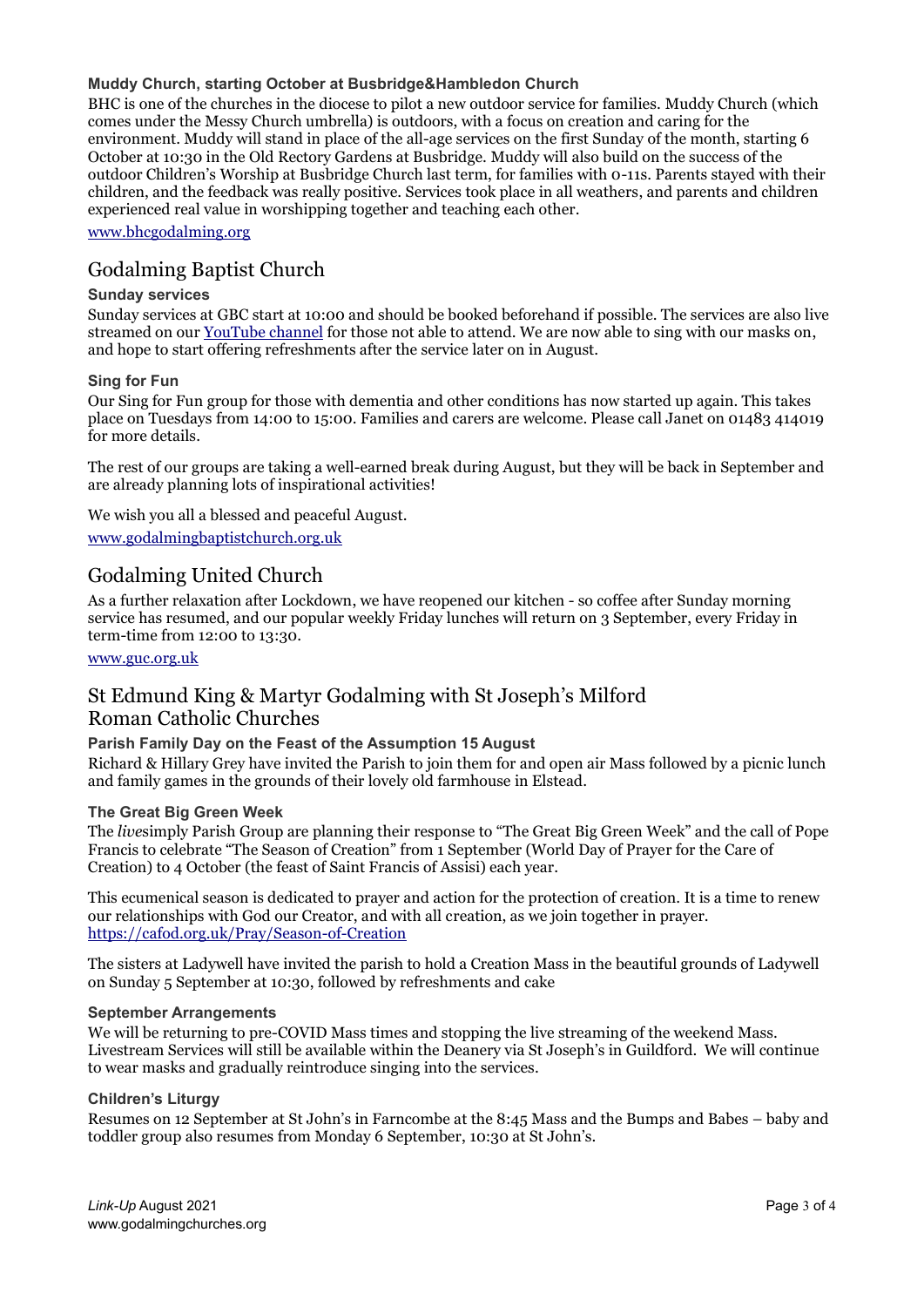#### **Muddy Church, starting October at Busbridge&Hambledon Church**

BHC is one of the churches in the diocese to pilot a new outdoor service for families. Muddy Church (which comes under the Messy Church umbrella) is outdoors, with a focus on creation and caring for the environment. Muddy will stand in place of the all-age services on the first Sunday of the month, starting 6 October at 10:30 in the Old Rectory Gardens at Busbridge. Muddy will also build on the success of the outdoor Children's Worship at Busbridge Church last term, for families with 0-11s. Parents stayed with their children, and the feedback was really positive. Services took place in all weathers, and parents and children experienced real value in worshipping together and teaching each other.

[www.bhcgodalming.org](http://www.bhcgodalming.org/)

# Godalming Baptist Church

#### **Sunday services**

Sunday services at GBC start at 10:00 and should be booked beforehand if possible. The services are also live streamed on our [YouTube channel](https://www.youtube.com/channel/UCCwMJcsPAKXKSlmP7sfTfCg) for those not able to attend. We are now able to sing with our masks on, and hope to start offering refreshments after the service later on in August.

#### **Sing for Fun**

Our Sing for Fun group for those with dementia and other conditions has now started up again. This takes place on Tuesdays from 14:00 to 15:00. Families and carers are welcome. Please call Janet on 01483 414019 for more details.

The rest of our groups are taking a well-earned break during August, but they will be back in September and are already planning lots of inspirational activities!

We wish you all a blessed and peaceful August.

[www.godalmingbaptistchurch.org.uk](http://www.godalmingbaptistchurch.org.uk/)

# Godalming United Church

As a further relaxation after Lockdown, we have reopened our kitchen - so coffee after Sunday morning service has resumed, and our popular weekly Friday lunches will return on 3 September, every Friday in term-time from 12:00 to 13:30.

[www.guc.org.uk](http://www.guc.org.uk/)

# St Edmund King & Martyr Godalming with St Joseph's Milford Roman Catholic Churches

#### **Parish Family Day on the Feast of the Assumption 15 August**

Richard & Hillary Grey have invited the Parish to join them for and open air Mass followed by a picnic lunch and family games in the grounds of their lovely old farmhouse in Elstead.

#### **The Great Big Green Week**

The *live*simply Parish Group are planning their response to "The Great Big Green Week" and the call of Pope Francis to celebrate "The Season of Creation" from 1 September (World Day of Prayer for the Care of Creation) to 4 October (the feast of Saint Francis of Assisi) each year.

This ecumenical season is dedicated to prayer and action for the protection of creation. It is a time to renew our relationships with God our Creator, and with all creation, as we join together in prayer. <https://cafod.org.uk/Pray/Season-of-Creation>

The sisters at Ladywell have invited the parish to hold a Creation Mass in the beautiful grounds of Ladywell on Sunday 5 September at 10:30, followed by refreshments and cake

#### **September Arrangements**

We will be returning to pre-COVID Mass times and stopping the live streaming of the weekend Mass. Livestream Services will still be available within the Deanery via St Joseph's in Guildford. We will continue to wear masks and gradually reintroduce singing into the services.

#### **Children's Liturgy**

Resumes on 12 September at St John's in Farncombe at the 8:45 Mass and the Bumps and Babes – baby and toddler group also resumes from Monday 6 September, 10:30 at St John's.